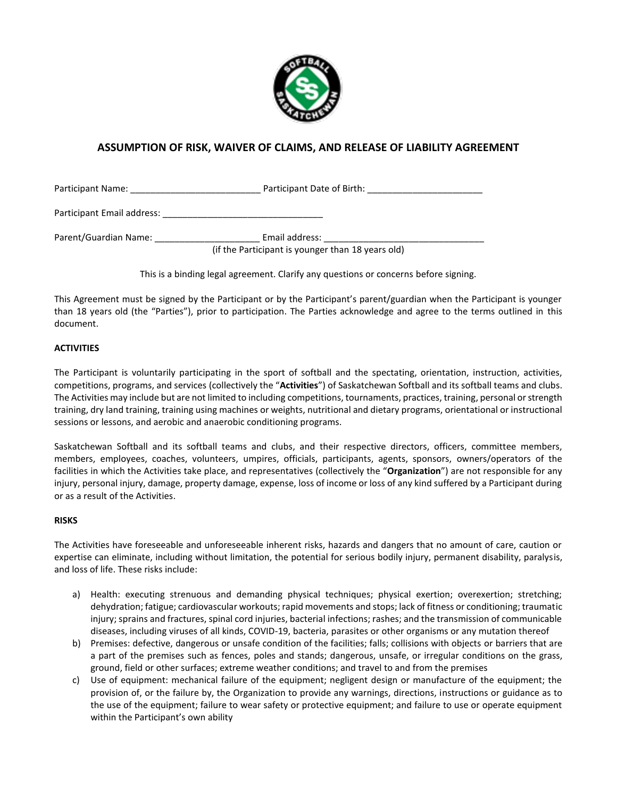

# **ASSUMPTION OF RISK, WAIVER OF CLAIMS, AND RELEASE OF LIABILITY AGREEMENT**

Participant Name: example and the Participant Date of Birth:

Participant Email address: \_\_\_\_\_\_\_\_\_\_\_\_\_\_\_\_\_\_\_\_\_\_\_\_\_\_\_\_\_\_\_\_

Parent/Guardian Name: \_\_\_\_\_\_\_\_\_\_\_\_\_\_\_\_\_\_\_\_\_ Email address: \_\_\_\_\_\_\_\_\_\_\_\_\_\_\_\_\_\_\_\_\_\_\_\_\_\_\_\_\_\_\_\_

(if the Participant is younger than 18 years old)

This is a binding legal agreement. Clarify any questions or concerns before signing.

This Agreement must be signed by the Participant or by the Participant's parent/guardian when the Participant is younger than 18 years old (the "Parties"), prior to participation. The Parties acknowledge and agree to the terms outlined in this document.

## **ACTIVITIES**

The Participant is voluntarily participating in the sport of softball and the spectating, orientation, instruction, activities, competitions, programs, and services (collectively the "**Activities**") of Saskatchewan Softball and its softball teams and clubs. The Activities may include but are not limited to including competitions, tournaments, practices, training, personal or strength training, dry land training, training using machines or weights, nutritional and dietary programs, orientational or instructional sessions or lessons, and aerobic and anaerobic conditioning programs.

Saskatchewan Softball and its softball teams and clubs, and their respective directors, officers, committee members, members, employees, coaches, volunteers, umpires, officials, participants, agents, sponsors, owners/operators of the facilities in which the Activities take place, and representatives (collectively the "**Organization**") are not responsible for any injury, personal injury, damage, property damage, expense, loss of income or loss of any kind suffered by a Participant during or as a result of the Activities.

## **RISKS**

The Activities have foreseeable and unforeseeable inherent risks, hazards and dangers that no amount of care, caution or expertise can eliminate, including without limitation, the potential for serious bodily injury, permanent disability, paralysis, and loss of life. These risks include:

- a) Health: executing strenuous and demanding physical techniques; physical exertion; overexertion; stretching; dehydration; fatigue; cardiovascular workouts; rapid movements and stops; lack of fitness or conditioning; traumatic injury; sprains and fractures, spinal cord injuries, bacterial infections; rashes; and the transmission of communicable diseases, including viruses of all kinds, COVID-19, bacteria, parasites or other organisms or any mutation thereof
- b) Premises: defective, dangerous or unsafe condition of the facilities; falls; collisions with objects or barriers that are a part of the premises such as fences, poles and stands; dangerous, unsafe, or irregular conditions on the grass, ground, field or other surfaces; extreme weather conditions; and travel to and from the premises
- c) Use of equipment: mechanical failure of the equipment; negligent design or manufacture of the equipment; the provision of, or the failure by, the Organization to provide any warnings, directions, instructions or guidance as to the use of the equipment; failure to wear safety or protective equipment; and failure to use or operate equipment within the Participant's own ability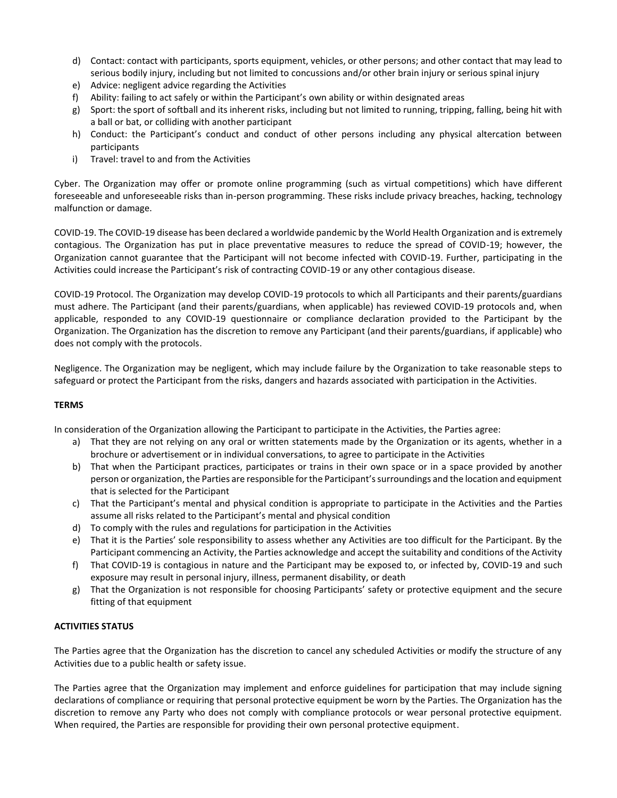- d) Contact: contact with participants, sports equipment, vehicles, or other persons; and other contact that may lead to serious bodily injury, including but not limited to concussions and/or other brain injury or serious spinal injury
- e) Advice: negligent advice regarding the Activities
- f) Ability: failing to act safely or within the Participant's own ability or within designated areas
- g) Sport: the sport of softball and its inherent risks, including but not limited to running, tripping, falling, being hit with a ball or bat, or colliding with another participant
- h) Conduct: the Participant's conduct and conduct of other persons including any physical altercation between participants
- i) Travel: travel to and from the Activities

Cyber. The Organization may offer or promote online programming (such as virtual competitions) which have different foreseeable and unforeseeable risks than in-person programming. These risks include privacy breaches, hacking, technology malfunction or damage.

COVID-19. The COVID-19 disease has been declared a worldwide pandemic by the World Health Organization and is extremely contagious. The Organization has put in place preventative measures to reduce the spread of COVID-19; however, the Organization cannot guarantee that the Participant will not become infected with COVID-19. Further, participating in the Activities could increase the Participant's risk of contracting COVID-19 or any other contagious disease.

COVID-19 Protocol. The Organization may develop COVID-19 protocols to which all Participants and their parents/guardians must adhere. The Participant (and their parents/guardians, when applicable) has reviewed COVID-19 protocols and, when applicable, responded to any COVID-19 questionnaire or compliance declaration provided to the Participant by the Organization. The Organization has the discretion to remove any Participant (and their parents/guardians, if applicable) who does not comply with the protocols.

Negligence. The Organization may be negligent, which may include failure by the Organization to take reasonable steps to safeguard or protect the Participant from the risks, dangers and hazards associated with participation in the Activities.

## **TERMS**

In consideration of the Organization allowing the Participant to participate in the Activities, the Parties agree:

- a) That they are not relying on any oral or written statements made by the Organization or its agents, whether in a brochure or advertisement or in individual conversations, to agree to participate in the Activities
- b) That when the Participant practices, participates or trains in their own space or in a space provided by another person or organization, the Parties are responsible for the Participant's surroundings and the location and equipment that is selected for the Participant
- c) That the Participant's mental and physical condition is appropriate to participate in the Activities and the Parties assume all risks related to the Participant's mental and physical condition
- d) To comply with the rules and regulations for participation in the Activities
- e) That it is the Parties' sole responsibility to assess whether any Activities are too difficult for the Participant. By the Participant commencing an Activity, the Parties acknowledge and accept the suitability and conditions of the Activity
- f) That COVID-19 is contagious in nature and the Participant may be exposed to, or infected by, COVID-19 and such exposure may result in personal injury, illness, permanent disability, or death
- g) That the Organization is not responsible for choosing Participants' safety or protective equipment and the secure fitting of that equipment

## **ACTIVITIES STATUS**

The Parties agree that the Organization has the discretion to cancel any scheduled Activities or modify the structure of any Activities due to a public health or safety issue.

The Parties agree that the Organization may implement and enforce guidelines for participation that may include signing declarations of compliance or requiring that personal protective equipment be worn by the Parties. The Organization has the discretion to remove any Party who does not comply with compliance protocols or wear personal protective equipment. When required, the Parties are responsible for providing their own personal protective equipment.